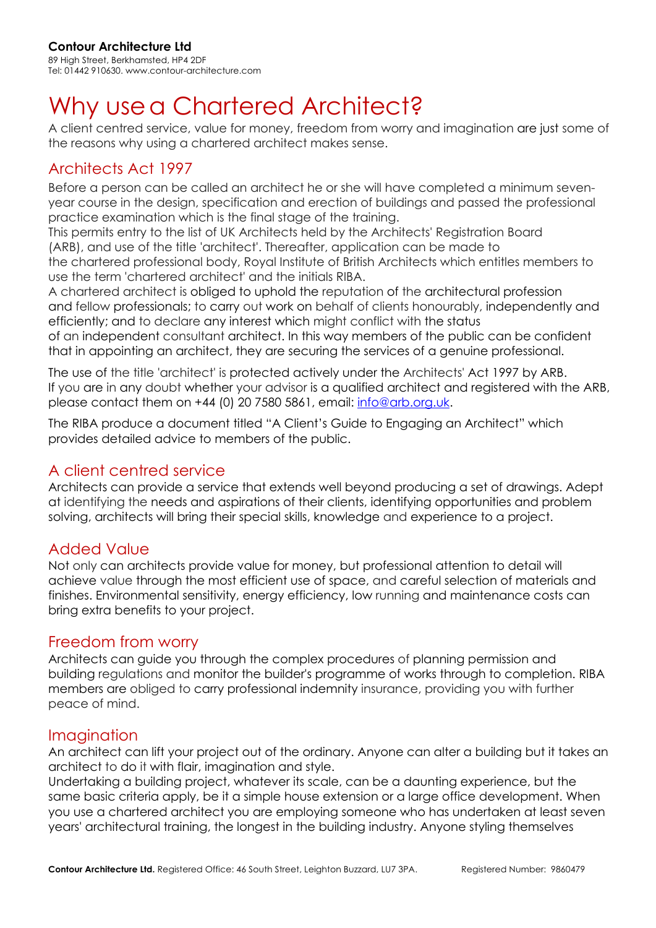### **Contour Architecture Ltd**

89 High Street, Berkhamsted, HP4 2DF Tel: 01442 910630. www.contour-architecture.com

# Why use a Chartered Architect?

A client centred service, value for money, freedom from worry and imagination are just some of the reasons why using a chartered architect makes sense.

## Architects Act 1997

Before a person can be called an architect he or she will have completed a minimum sevenyear course in the design, specification and erection of buildings and passed the professional practice examination which is the final stage of the training.

This permits entry to the list of UK Architects held by the Architects' Registration Board (ARB), and use of the title 'architect'. Thereafter, application can be made to the chartered professional body, Royal Institute of British Architects which entitles members to

use the term 'chartered architect' and the initials RIBA.

A chartered architect is obliged to uphold the reputation of the architectural profession and fellow professionals; to carry out work on behalf of clients honourably, independently and efficiently; and to declare any interest which might conflict with the status

of an independent consultant architect. In this way members of the public can be confident that in appointing an architect, they are securing the services of a genuine professional.

The use of the title 'architect' is protected actively under the Architects' Act 1997 by ARB. If you are in any doubt whether your advisor is a qualified architect and registered with the ARB, please contact them on +44 (0) 20 7580 5861, email: info@arb.org.uk.

The RIBA produce a document titled "A Client's Guide to Engaging an Architect" which provides detailed advice to members of the public.

## A client centred service

Architects can provide a service that extends well beyond producing a set of drawings. Adept at identifying the needs and aspirations of their clients, identifying opportunities and problem solving, architects will bring their special skills, knowledge and experience to a project.

## Added Value

Not only can architects provide value for money, but professional attention to detail will achieve value through the most efficient use of space, and careful selection of materials and finishes. Environmental sensitivity, energy efficiency, low running and maintenance costs can bring extra benefits to your project.

### Freedom from worry

Architects can guide you through the complex procedures of planning permission and building regulations and monitor the builder's programme of works through to completion. RIBA members are obliged to carry professional indemnity insurance, providing you with further peace of mind.

### Imagination

An architect can lift your project out of the ordinary. Anyone can alter a building but it takes an architect to do it with flair, imagination and style.

Undertaking a building project, whatever its scale, can be a daunting experience, but the same basic criteria apply, be it a simple house extension or a large office development. When you use a chartered architect you are employing someone who has undertaken at least seven years' architectural training, the longest in the building industry. Anyone styling themselves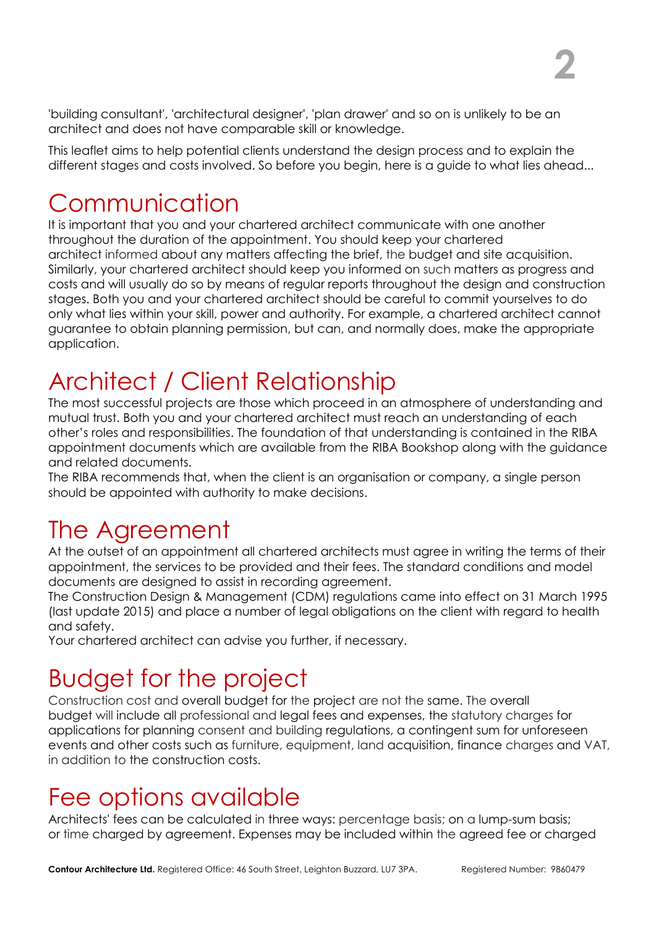'building consultant', 'architectural designer', 'plan drawer' and so on is unlikely to be an architect and does not have comparable skill or knowledge.

This leaflet aims to help potential clients understand the design process and to explain the different stages and costs involved. So before you begin, here is a guide to what lies ahead...

## Communication

It is important that you and your chartered architect communicate with one another throughout the duration of the appointment. You should keep your chartered architect informed about any matters affecting the brief, the budget and site acquisition. Similarly, your chartered architect should keep you informed on such matters as progress and costs and will usually do so by means of regular reports throughout the design and construction stages. Both you and your chartered architect should be careful to commit yourselves to do only what lies within your skill, power and authority. For example, a chartered architect cannot guarantee to obtain planning permission, but can, and normally does, make the appropriate application.

# Architect / Client Relationship

The most successful projects are those which proceed in an atmosphere of understanding and mutual trust. Both you and your chartered architect must reach an understanding of each other's roles and responsibilities. The foundation of that understanding is contained in the RIBA appointment documents which are available from the RIBA Bookshop along with the guidance and related documents.

The RIBA recommends that, when the client is an organisation or company, a single person should be appointed with authority to make decisions.

## The Agreement

At the outset of an appointment all chartered architects must agree in writing the terms of their appointment, the services to be provided and their fees. The standard conditions and model documents are designed to assist in recording agreement.

The Construction Design & Management (CDM) regulations came into effect on 31 March 1995 (last update 2015) and place a number of legal obligations on the client with regard to health and safety.

Your chartered architect can advise you further, if necessary.

# Budget for the project

Construction cost and overall budget for the project are not the same. The overall budget will include all professional and legal fees and expenses, the statutory charges for applications for planning consent and building regulations, a contingent sum for unforeseen events and other costs such as furniture, equipment, land acquisition, finance charges and VAT, in addition to the construction costs.

## Fee options available

Architects' fees can be calculated in three ways: percentage basis; on a lump-sum basis; or time charged by agreement. Expenses may be included within the agreed fee or charged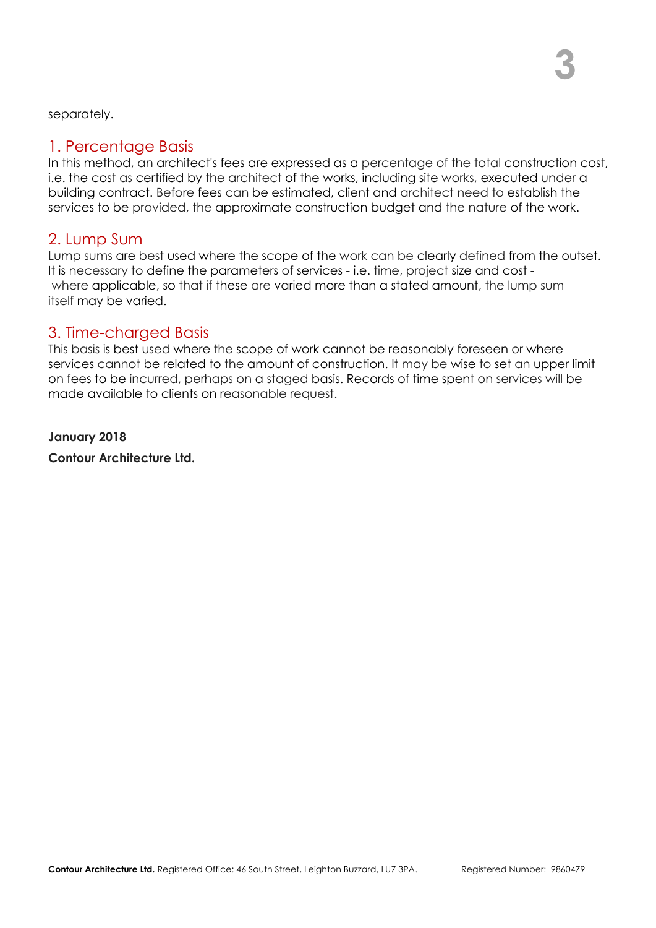separately.

## 1. Percentage Basis

In this method, an architect's fees are expressed as a percentage of the total construction cost, i.e. the cost as certified by the architect of the works, including site works, executed under a building contract. Before fees can be estimated, client and architect need to establish the services to be provided, the approximate construction budget and the nature of the work.

### 2. Lump Sum

Lump sums are best used where the scope of the work can be clearly defined from the outset. It is necessary to define the parameters of services - i.e. time, project size and cost where applicable, so that if these are varied more than a stated amount, the lump sum itself may be varied.

## 3. Time-charged Basis

This basis is best used where the scope of work cannot be reasonably foreseen or where services cannot be related to the amount of construction. It may be wise to set an upper limit on fees to be incurred, perhaps on a staged basis. Records of time spent on services will be made available to clients on reasonable request.

**January 2018**

**Contour Architecture Ltd.**